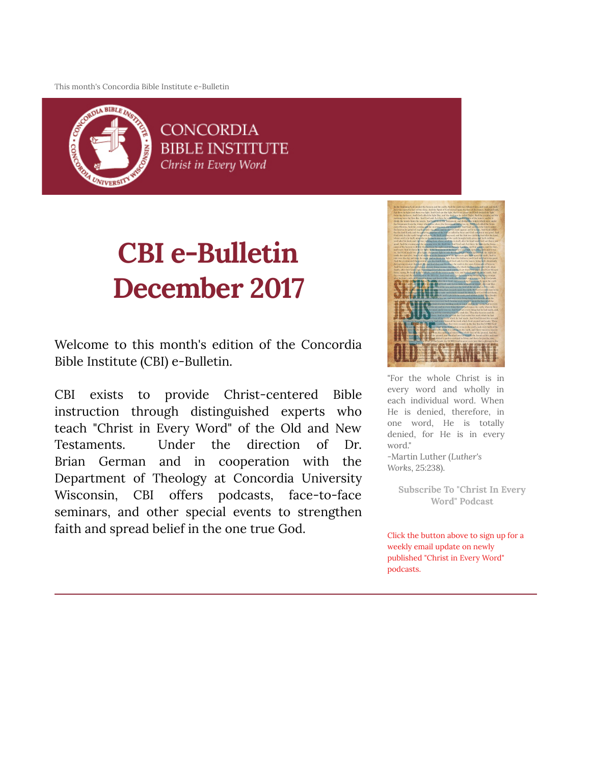This month's Concordia Bible Institute e-Bulletin



**CONCORDIA BIBLE INSTITUTE** Christ in Every Word

# CBI e-Bulletin December 2017

Welcome to this month's edition of the Concordia Bible Institute (CBI) e-Bulletin.

CBI exists to provide Christ-centered Bible instruction through distinguished experts who teach "Christ in Every Word" of the Old and New Testaments. Under the direction of Dr. Brian German and in cooperation with the Department of Theology at Concordia University Wisconsin, CBI offers podcasts, face-to-face seminars, and other special events to strengthen faith and spread belief in the one true God.



"For the whole Christ is in every word and wholly in each individual word. When He is denied, therefore, in one word, He is totally denied, for He is in every word." -Martin Luther (Luther's

Works, 25:238).

[Subscribe To "Christ In Every](http://subscribebyemail.com/www.concordiabible.org/feed/podcast/) Word" Podcast

Click the button above to sign up for a weekly email update on newly published "Christ in Every Word" podcasts.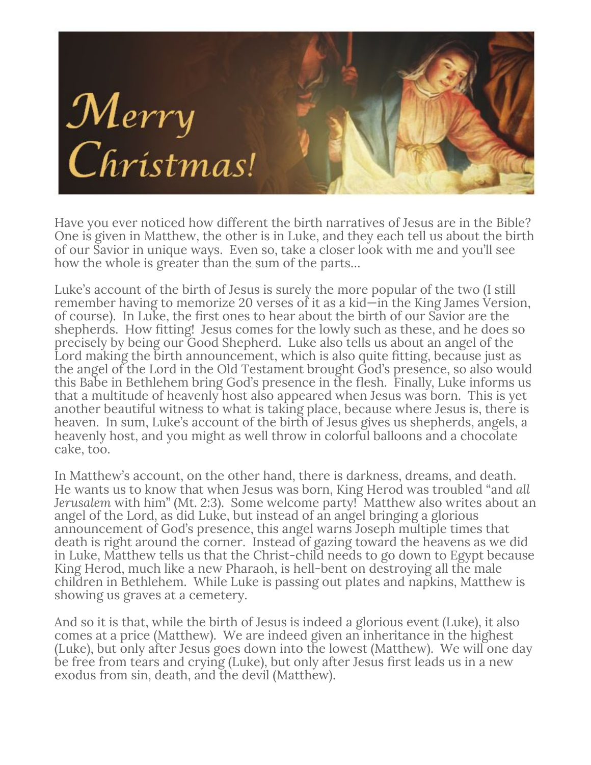

Have you ever noticed how different the birth narratives of Jesus are in the Bible? One is given in Matthew, the other is in Luke, and they each tell us about the birth of our Savior in unique ways. Even so, take a closer look with me and you'll see how the whole is greater than the sum of the parts…

Luke's account of the birth of Jesus is surely the more popular of the two (I still remember having to memorize 20 verses of it as a kid—in the King James Version, of course). In Luke, the first ones to hear about the birth of our Savior are the shepherds. How tting! Jesus comes for the lowly such as these, and he does so precisely by being our Good Shepherd. Luke also tells us about an angel of the Lord making the birth announcement, which is also quite fitting, because just as the angel of the Lord in the Old Testament brought God's presence, so also would this Babe in Bethlehem bring God's presence in the flesh. Finally, Luke informs us that a multitude of heavenly host also appeared when Jesus was born. This is yet another beautiful witness to what is taking place, because where Jesus is, there is heaven. In sum, Luke's account of the birth of Jesus gives us shepherds, angels, a heavenly host, and you might as well throw in colorful balloons and a chocolate cake, too.

In Matthew's account, on the other hand, there is darkness, dreams, and death. He wants us to know that when Jesus was born, King Herod was troubled "and all Jerusalem with him" (Mt. 2:3). Some welcome party! Matthew also writes about an angel of the Lord, as did Luke, but instead of an angel bringing a glorious announcement of God's presence, this angel warns Joseph multiple times that death is right around the corner. Instead of gazing toward the heavens as we did in Luke, Matthew tells us that the Christ-child needs to go down to Egypt because King Herod, much like a new Pharaoh, is hell-bent on destroying all the male children in Bethlehem. While Luke is passing out plates and napkins, Matthew is showing us graves at a cemetery.

And so it is that, while the birth of Jesus is indeed a glorious event (Luke), it also comes at a price (Matthew). We are indeed given an inheritance in the highest (Luke), but only after Jesus goes down into the lowest (Matthew). We will one day be free from tears and crying (Luke), but only after Jesus first leads us in a new exodus from sin, death, and the devil (Matthew).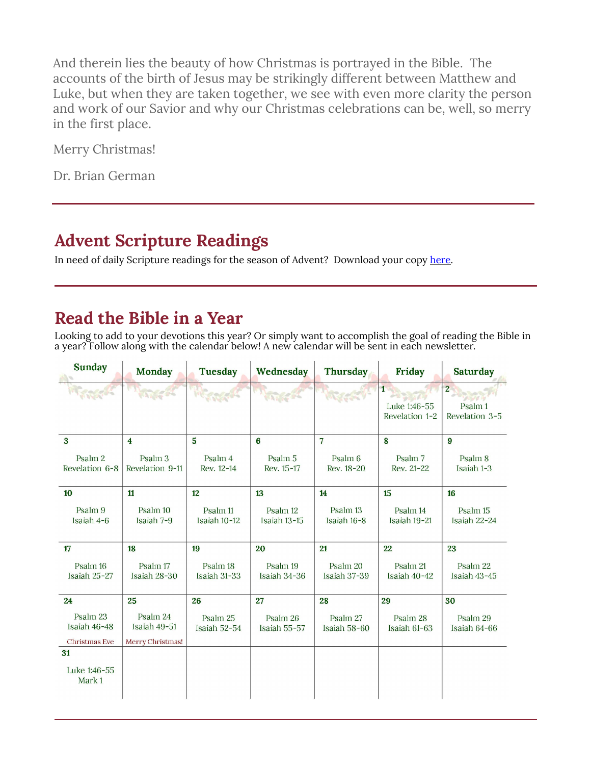And therein lies the beauty of how Christmas is portrayed in the Bible. The accounts of the birth of Jesus may be strikingly different between Matthew and Luke, but when they are taken together, we see with even more clarity the person and work of our Savior and why our Christmas celebrations can be, well, so merry in the first place.

Merry Christmas!

Dr. Brian German

## Advent Scripture Readings

In need of daily Scripture readings for the season of Advent? Download your copy here.

## Read the Bible in a Year

Looking to add to your devotions this year? Or simply want to accomplish the goal of reading the Bible in a year? Follow along with the calendar below! A new calendar will be sent in each newsletter.

| <b>Sunday</b>             | <b>Monday</b>                         | <b>Tuesday</b>                      | Wednesday                        | <b>Thursday</b>                  | Friday                                         | <b>Saturday</b>                                        |
|---------------------------|---------------------------------------|-------------------------------------|----------------------------------|----------------------------------|------------------------------------------------|--------------------------------------------------------|
|                           |                                       | <b>RACTOR</b>                       |                                  |                                  | $\mathbf{1}$<br>Luke 1:46-55<br>Revelation 1-2 | $\overline{2}$<br>Psalm <sub>1</sub><br>Revelation 3-5 |
| 3                         | $\overline{\bf{4}}$                   | $\overline{5}$                      | 6                                | $\overline{7}$                   | $\boldsymbol{8}$                               | 9                                                      |
| Psalm 2<br>Revelation 6-8 | Psalm <sub>3</sub><br>Revelation 9-11 | Psalm 4<br>Rev. 12-14               | Psalm <sub>5</sub><br>Rev. 15-17 | Psalm <sub>6</sub><br>Rev. 18-20 | Psalm <sub>7</sub><br>Rev. 21-22               | Psalm 8<br>Isaiah 1-3                                  |
| 10                        | 11                                    | 12                                  | 13                               | 14                               | 15                                             | 16                                                     |
| Psalm 9<br>Isaiah 4-6     | Psalm 10<br>Isaiah 7-9                | Psalm <sub>11</sub><br>Isaiah 10-12 | Psalm 12<br>Isaiah 13-15         | Psalm 13<br>Isaiah 16-8          | Psalm 14<br>Isaiah 19-21                       | Psalm 15<br>Isaiah 22-24                               |
| 17                        | 18                                    | 19                                  | 20                               | 21                               | 22                                             | 23                                                     |
| Psalm 16<br>Isaiah 25-27  | Psalm 17<br>Isaiah 28-30              | Psalm <sub>18</sub><br>Isaiah 31-33 | Psalm 19<br>Isaiah 34-36         | Psalm 20<br>Isaiah 37-39         | Psalm 21<br>Isaiah 40-42                       | Psalm 22<br>Isaiah 43-45                               |
| 24                        | 25                                    | 26                                  | 27                               | 28                               | 29                                             | 30                                                     |
| Psalm 23<br>Isaiah 46-48  | Psalm 24<br>Isaiah 49-51              | Psalm 25<br>Isaiah 52-54            | Psalm 26<br>Isaiah 55-57         | Psalm 27<br>Isaiah 58-60         | Psalm 28<br>Isaiah 61-63                       | Psalm 29<br>Isaiah 64-66                               |
| Christmas Eve<br>31       | Merry Christmas!                      |                                     |                                  |                                  |                                                |                                                        |
| Luke 1:46-55<br>Mark 1    |                                       |                                     |                                  |                                  |                                                |                                                        |